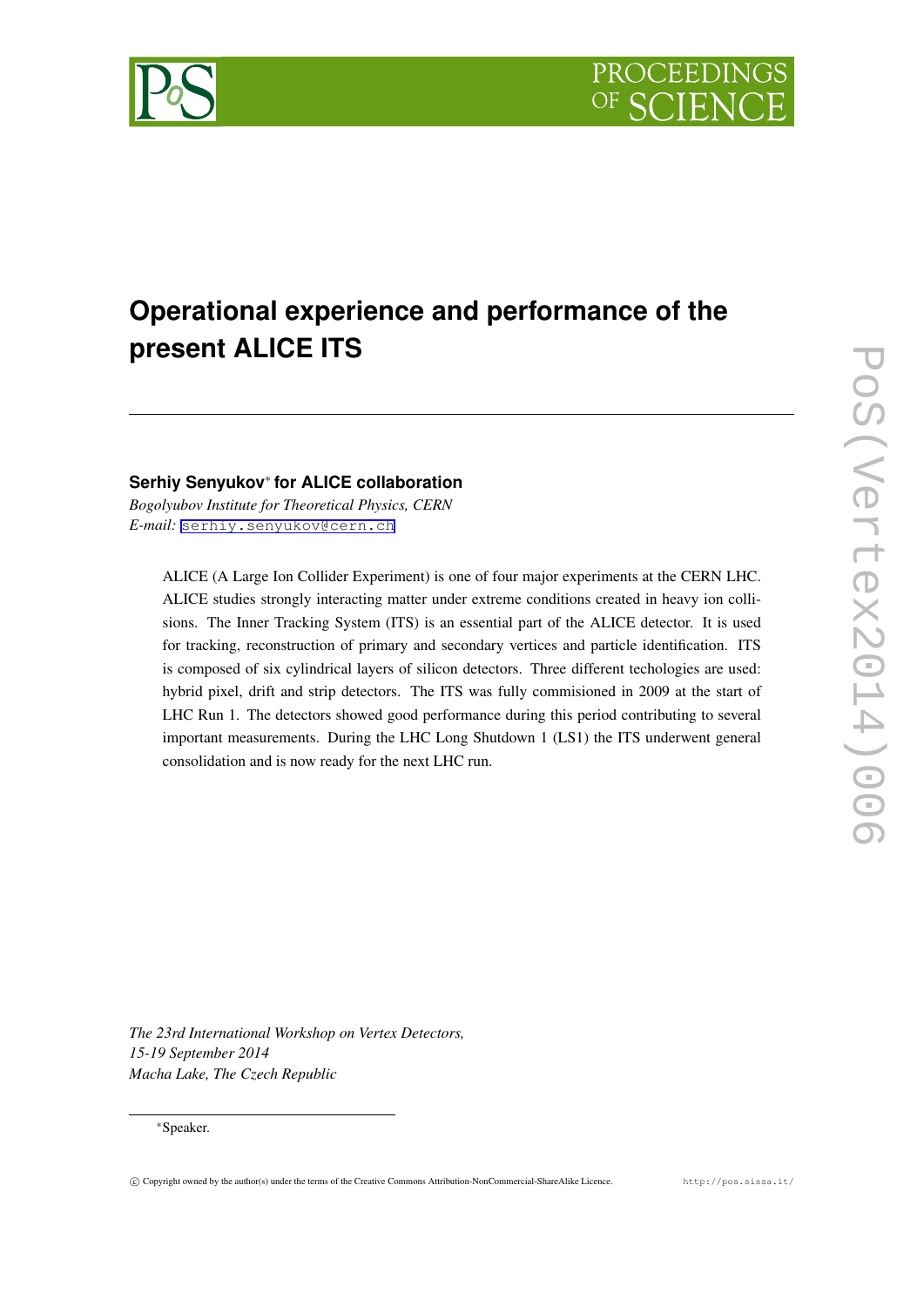

# **Operational experience and performance of the present ALICE ITS**

## **Serhiy Senyukov***∗* **for ALICE collaboration**

*Bogolyubov Institute for Theoretical Physics, CERN E-mail:* [serhiy.senyukov@cern.ch](mailto:serhiy.senyukov@cern.ch)

ALICE (A Large Ion Collider Experiment) is one of four major experiments at the CERN LHC. ALICE studies strongly interacting matter under extreme conditions created in heavy ion collisions. The Inner Tracking System (ITS) is an essential part of the ALICE detector. It is used for tracking, reconstruction of primary and secondary vertices and particle identification. ITS is composed of six cylindrical layers of silicon detectors. Three different techologies are used: hybrid pixel, drift and strip detectors. The ITS was fully commisioned in 2009 at the start of LHC Run 1. The detectors showed good performance during this period contributing to several important measurements. During the LHC Long Shutdown 1 (LS1) the ITS underwent general consolidation and is now ready for the next LHC run.

*The 23rd International Workshop on Vertex Detectors, 15-19 September 2014 Macha Lake, The Czech Republic*

## *∗*Speaker.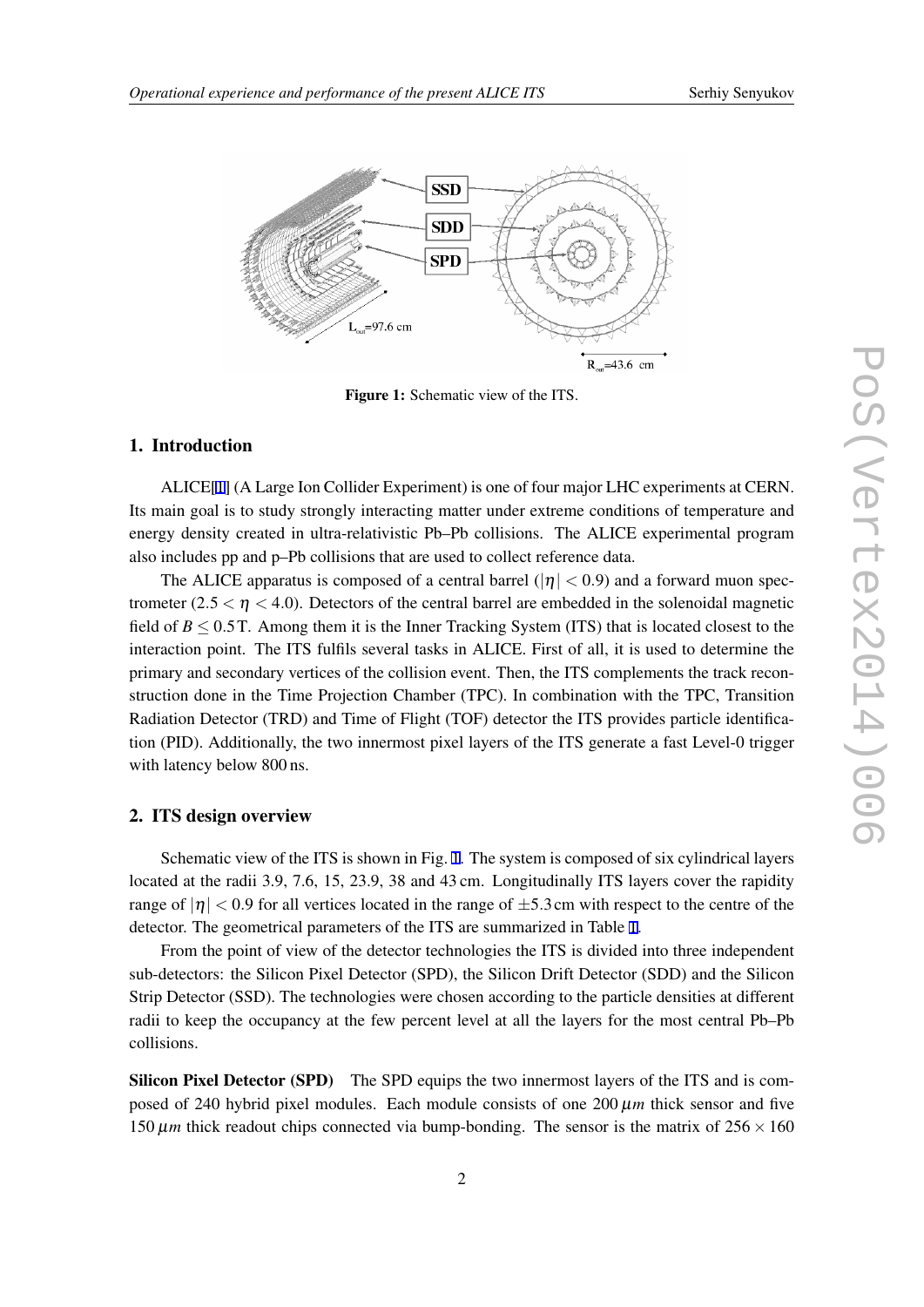



Figure 1: Schematic view of the ITS.

## 1. Introduction

ALICE[\[1\]](#page-6-0) (A Large Ion Collider Experiment) is one of four major LHC experiments at CERN. Its main goal is to study strongly interacting matter under extreme conditions of temperature and energy density created in ultra-relativistic Pb–Pb collisions. The ALICE experimental program also includes pp and p–Pb collisions that are used to collect reference data.

The ALICE apparatus is composed of a central barrel  $(|\eta| < 0.9)$  and a forward muon spectrometer  $(2.5 < \eta < 4.0)$ . Detectors of the central barrel are embedded in the solenoidal magnetic field of *B ≤* 0*.*5T. Among them it is the Inner Tracking System (ITS) that is located closest to the interaction point. The ITS fulfils several tasks in ALICE. First of all, it is used to determine the primary and secondary vertices of the collision event. Then, the ITS complements the track reconstruction done in the Time Projection Chamber (TPC). In combination with the TPC, Transition Radiation Detector (TRD) and Time of Flight (TOF) detector the ITS provides particle identification (PID). Additionally, the two innermost pixel layers of the ITS generate a fast Level-0 trigger with latency below 800 ns.

#### 2. ITS design overview

Schematic view of the ITS is shown in Fig. 1. The system is composed of six cylindrical layers located at the radii 3.9, 7.6, 15, 23.9, 38 and 43 cm. Longitudinally ITS layers cover the rapidity range of  $|\eta|$  < 0.9 for all vertices located in the range of  $\pm$ 5.3cm with respect to the centre of the detector. The geometrical parameters of the ITS are summarized in Table [1.](#page-2-0)

From the point of view of the detector technologies the ITS is divided into three independent sub-detectors: the Silicon Pixel Detector (SPD), the Silicon Drift Detector (SDD) and the Silicon Strip Detector (SSD). The technologies were chosen according to the particle densities at different radii to keep the occupancy at the few percent level at all the layers for the most central Pb–Pb collisions.

Silicon Pixel Detector (SPD) The SPD equips the two innermost layers of the ITS and is composed of 240 hybrid pixel modules. Each module consists of one 200 µ*m* thick sensor and five 150  $\mu$ *m* thick readout chips connected via bump-bonding. The sensor is the matrix of  $256 \times 160$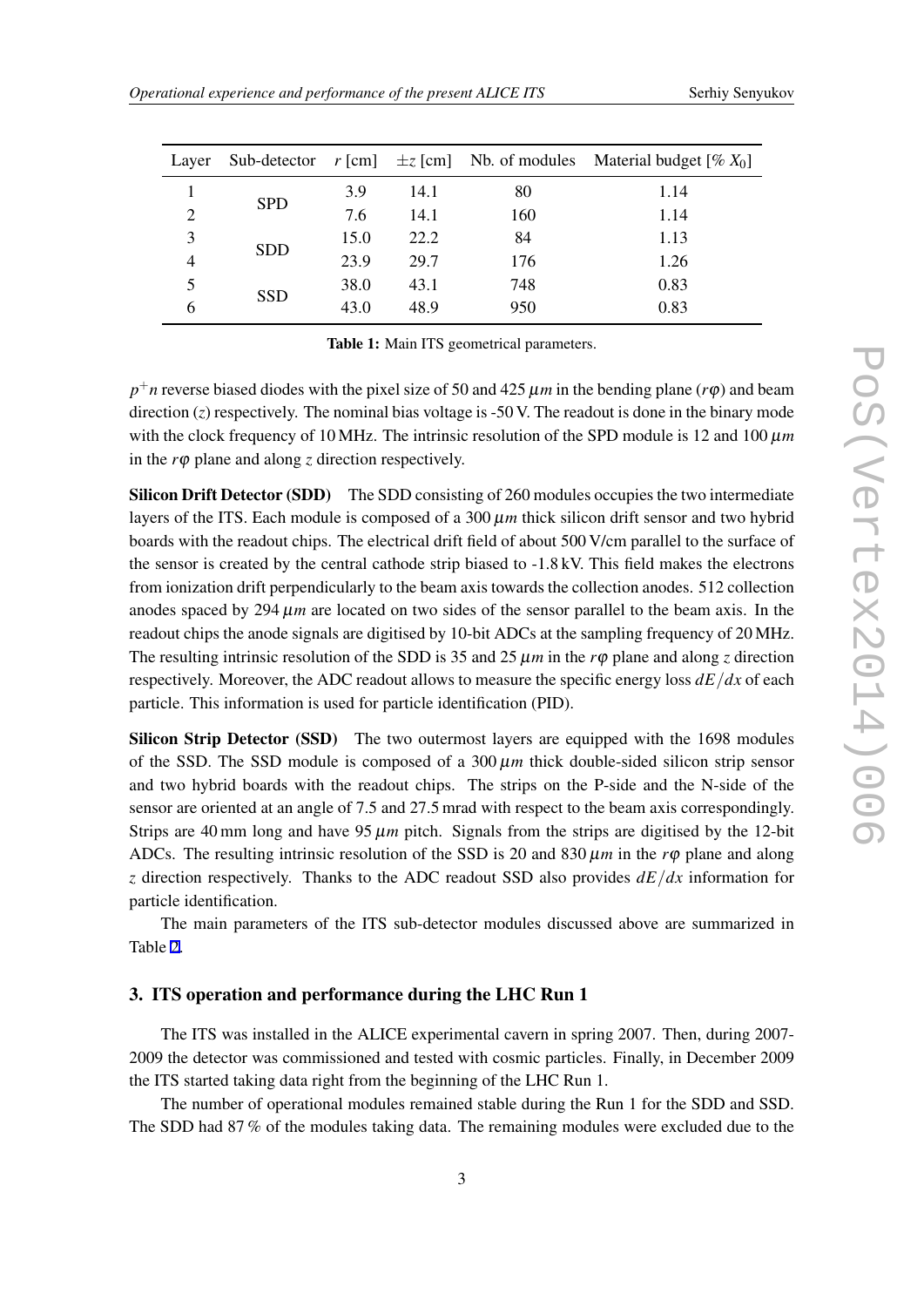<span id="page-2-0"></span>

| Laver          |            |      |      |     | Sub-detector $r$ [cm] $\pm z$ [cm] Nb. of modules Material budget [% $X_0$ ] |
|----------------|------------|------|------|-----|------------------------------------------------------------------------------|
|                |            | 3.9  | 14.1 | 80  | 1.14                                                                         |
| $\overline{2}$ | <b>SPD</b> | 7.6  | 14.1 | 160 | 1.14                                                                         |
| 3              | <b>SDD</b> | 15.0 | 22.2 | 84  | 1.13                                                                         |
| $\overline{4}$ |            | 23.9 | 29.7 | 176 | 1.26                                                                         |
| 5              | <b>SSD</b> | 38.0 | 43.1 | 748 | 0.83                                                                         |
| 6              |            | 43.0 | 48.9 | 950 | 0.83                                                                         |

Table 1: Main ITS geometrical parameters.

 $p^+n$  reverse biased diodes with the pixel size of 50 and 425  $\mu$ *m* in the bending plane (*r*φ) and beam direction (*z*) respectively. The nominal bias voltage is -50 V. The readout is done in the binary mode with the clock frequency of 10 MHz. The intrinsic resolution of the SPD module is 12 and 100  $\mu$ m in the *r*φ plane and along *z* direction respectively.

Silicon Drift Detector (SDD) The SDD consisting of 260 modules occupies the two intermediate layers of the ITS. Each module is composed of a  $300 \mu m$  thick silicon drift sensor and two hybrid boards with the readout chips. The electrical drift field of about 500 V/cm parallel to the surface of the sensor is created by the central cathode strip biased to -1.8 kV. This field makes the electrons from ionization drift perpendicularly to the beam axis towards the collection anodes. 512 collection anodes spaced by 294  $\mu$ *m* are located on two sides of the sensor parallel to the beam axis. In the readout chips the anode signals are digitised by 10-bit ADCs at the sampling frequency of 20 MHz. The resulting intrinsic resolution of the SDD is 35 and 25  $\mu$ *m* in the *r* $\varphi$  plane and along *z* direction respectively. Moreover, the ADC readout allows to measure the specific energy loss  $dE/dx$  of each particle. This information is used for particle identification (PID).

Silicon Strip Detector (SSD) The two outermost layers are equipped with the 1698 modules of the SSD. The SSD module is composed of a  $300 \mu m$  thick double-sided silicon strip sensor and two hybrid boards with the readout chips. The strips on the P-side and the N-side of the sensor are oriented at an angle of 7.5 and 27.5 mrad with respect to the beam axis correspondingly. Strips are 40 mm long and have  $95 \mu m$  pitch. Signals from the strips are digitised by the 12-bit ADCs. The resulting intrinsic resolution of the SSD is 20 and 830  $\mu$ *m* in the *r* $\varphi$  plane and along *z* direction respectively. Thanks to the ADC readout SSD also provides *dE/dx* information for particle identification.

The main parameters of the ITS sub-detector modules discussed above are summarized in Table [2](#page-3-0).

## 3. ITS operation and performance during the LHC Run 1

The ITS was installed in the ALICE experimental cavern in spring 2007. Then, during 2007- 2009 the detector was commissioned and tested with cosmic particles. Finally, in December 2009 the ITS started taking data right from the beginning of the LHC Run 1.

The number of operational modules remained stable during the Run 1 for the SDD and SSD. The SDD had 87 % of the modules taking data. The remaining modules were excluded due to the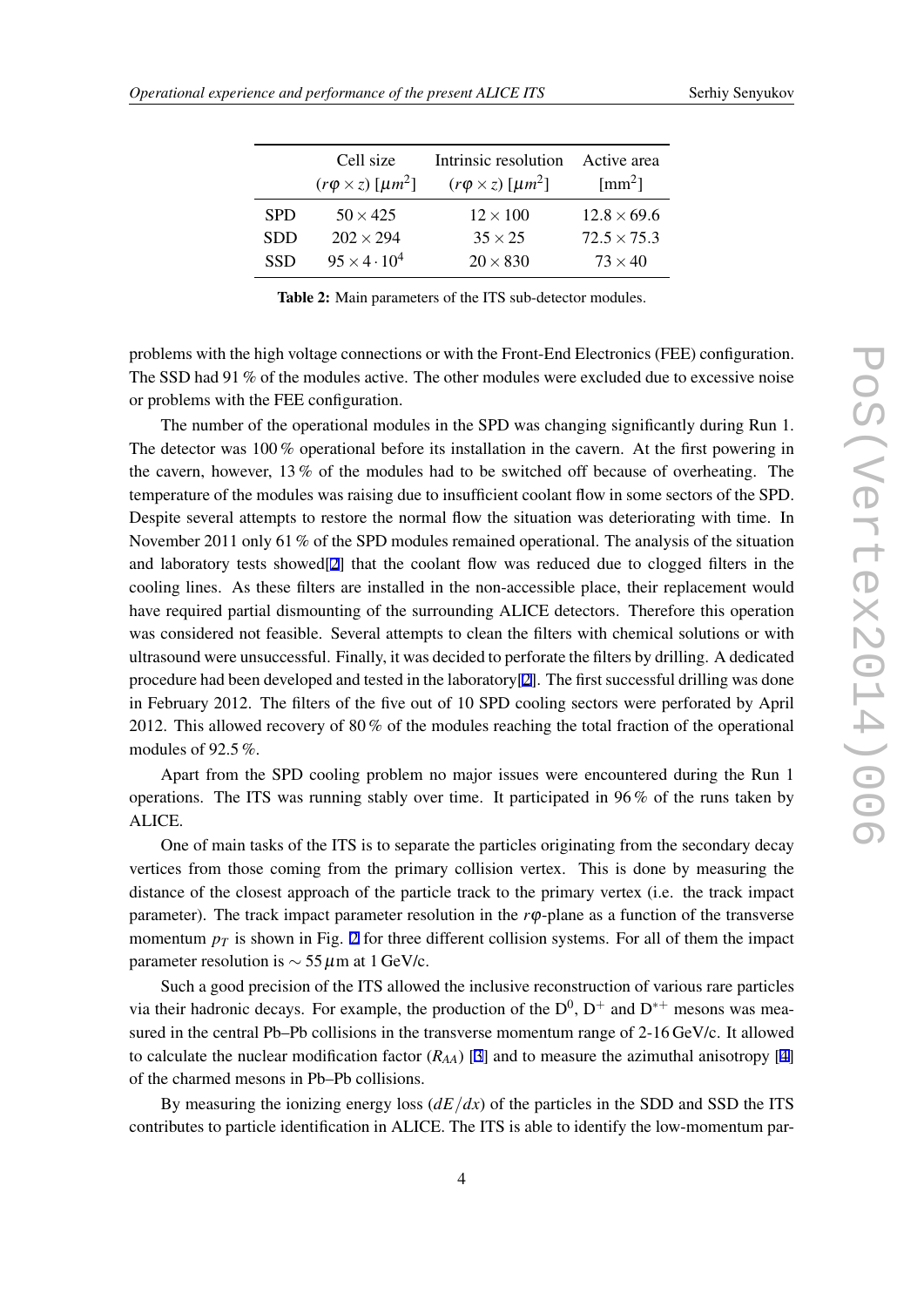<span id="page-3-0"></span>

| Cell size<br>$(r\varphi \times z)$ [ $\mu m^2$ ] | Intrinsic resolution<br>$(r\varphi \times z)$ [ $\mu m^2$ ] | Active area<br>$\text{[mm}^2$ ] |
|--------------------------------------------------|-------------------------------------------------------------|---------------------------------|
| $50 \times 425$                                  | $12 \times 100$                                             | $12.8 \times 69.6$              |
| $202 \times 294$                                 | $35 \times 25$                                              | $72.5 \times 75.3$              |
| $95 \times 4 \cdot 10^4$                         | $20 \times 830$                                             | $73 \times 40$                  |
|                                                  |                                                             |                                 |

Table 2: Main parameters of the ITS sub-detector modules.

problems with the high voltage connections or with the Front-End Electronics (FEE) configuration. The SSD had 91 % of the modules active. The other modules were excluded due to excessive noise or problems with the FEE configuration.

The number of the operational modules in the SPD was changing significantly during Run 1. The detector was 100 % operational before its installation in the cavern. At the first powering in the cavern, however, 13 % of the modules had to be switched off because of overheating. The temperature of the modules was raising due to insufficient coolant flow in some sectors of the SPD. Despite several attempts to restore the normal flow the situation was deteriorating with time. In November 2011 only 61 % of the SPD modules remained operational. The analysis of the situation and laboratory tests showed[\[2](#page-6-0)] that the coolant flow was reduced due to clogged filters in the cooling lines. As these filters are installed in the non-accessible place, their replacement would have required partial dismounting of the surrounding ALICE detectors. Therefore this operation was considered not feasible. Several attempts to clean the filters with chemical solutions or with ultrasound were unsuccessful. Finally, it was decided to perforate the filters by drilling. A dedicated procedure had been developed and tested in the laboratory[[2](#page-6-0)]. The first successful drilling was done in February 2012. The filters of the five out of 10 SPD cooling sectors were perforated by April 2012. This allowed recovery of 80 % of the modules reaching the total fraction of the operational modules of 92.5 %.

Apart from the SPD cooling problem no major issues were encountered during the Run 1 operations. The ITS was running stably over time. It participated in 96 % of the runs taken by ALICE.

One of main tasks of the ITS is to separate the particles originating from the secondary decay vertices from those coming from the primary collision vertex. This is done by measuring the distance of the closest approach of the particle track to the primary vertex (i.e. the track impact parameter). The track impact parameter resolution in the *r*φ-plane as a function of the transverse momentum  $p_T$  is shown in Fig. [2](#page-4-0) for three different collision systems. For all of them the impact parameter resolution is *∼* 55µm at 1 GeV/c.

Such a good precision of the ITS allowed the inclusive reconstruction of various rare particles via their hadronic decays. For example, the production of the  $D^0$ ,  $D^+$  and  $D^{*+}$  mesons was measured in the central Pb–Pb collisions in the transverse momentum range of 2-16 GeV/c. It allowed to calculate the nuclear modification factor  $(R_{AA})$  [[3](#page-6-0)] and to measure the azimuthal anisotropy [[4](#page-6-0)] of the charmed mesons in Pb–Pb collisions.

By measuring the ionizing energy loss  $(dE/dx)$  of the particles in the SDD and SSD the ITS contributes to particle identification in ALICE. The ITS is able to identify the low-momentum par-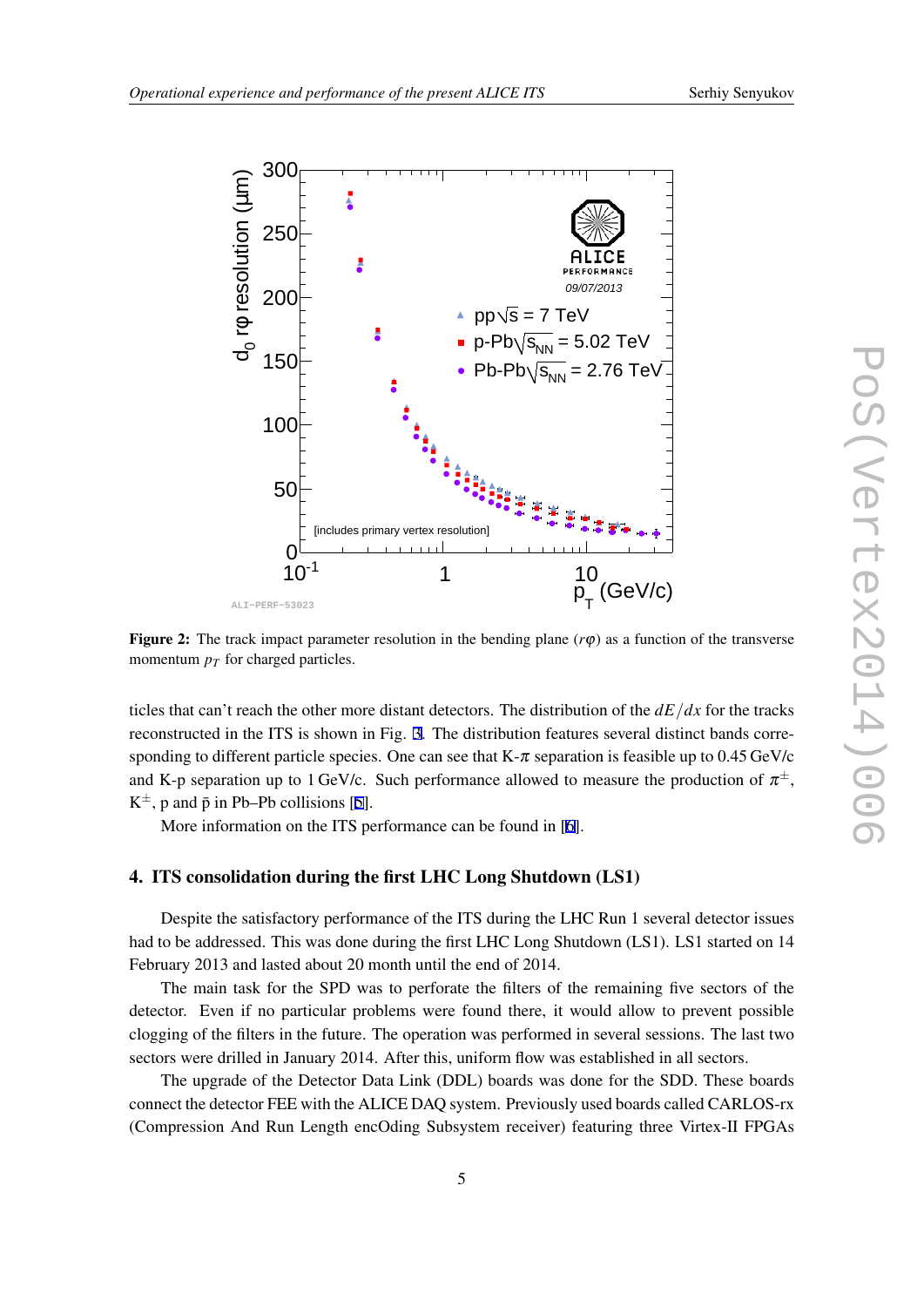<span id="page-4-0"></span>

**Figure 2:** The track impact parameter resolution in the bending plane  $(r\varphi)$  as a function of the transverse momentum  $p_T$  for charged particles.

ticles that can't reach the other more distant detectors. The distribution of the *dE/dx* for the tracks reconstructed in the ITS is shown in Fig. [3.](#page-5-0) The distribution features several distinct bands corresponding to different particle species. One can see that K- $\pi$  separation is feasible up to 0.45 GeV/c and K-p separation up to 1 GeV/c. Such performance allowed to measure the production of  $\pi^{\pm}$ ,  $K^{\pm}$ , p and  $\bar{p}$  in Pb–Pb collisions [[5](#page-6-0)].

More information on the ITS performance can be found in [[6](#page-6-0)].

## 4. ITS consolidation during the first LHC Long Shutdown (LS1)

Despite the satisfactory performance of the ITS during the LHC Run 1 several detector issues had to be addressed. This was done during the first LHC Long Shutdown (LS1). LS1 started on 14 February 2013 and lasted about 20 month until the end of 2014.

The main task for the SPD was to perforate the filters of the remaining five sectors of the detector. Even if no particular problems were found there, it would allow to prevent possible clogging of the filters in the future. The operation was performed in several sessions. The last two sectors were drilled in January 2014. After this, uniform flow was established in all sectors.

The upgrade of the Detector Data Link (DDL) boards was done for the SDD. These boards connect the detector FEE with the ALICE DAQ system. Previously used boards called CARLOS-rx (Compression And Run Length encOding Subsystem receiver) featuring three Virtex-II FPGAs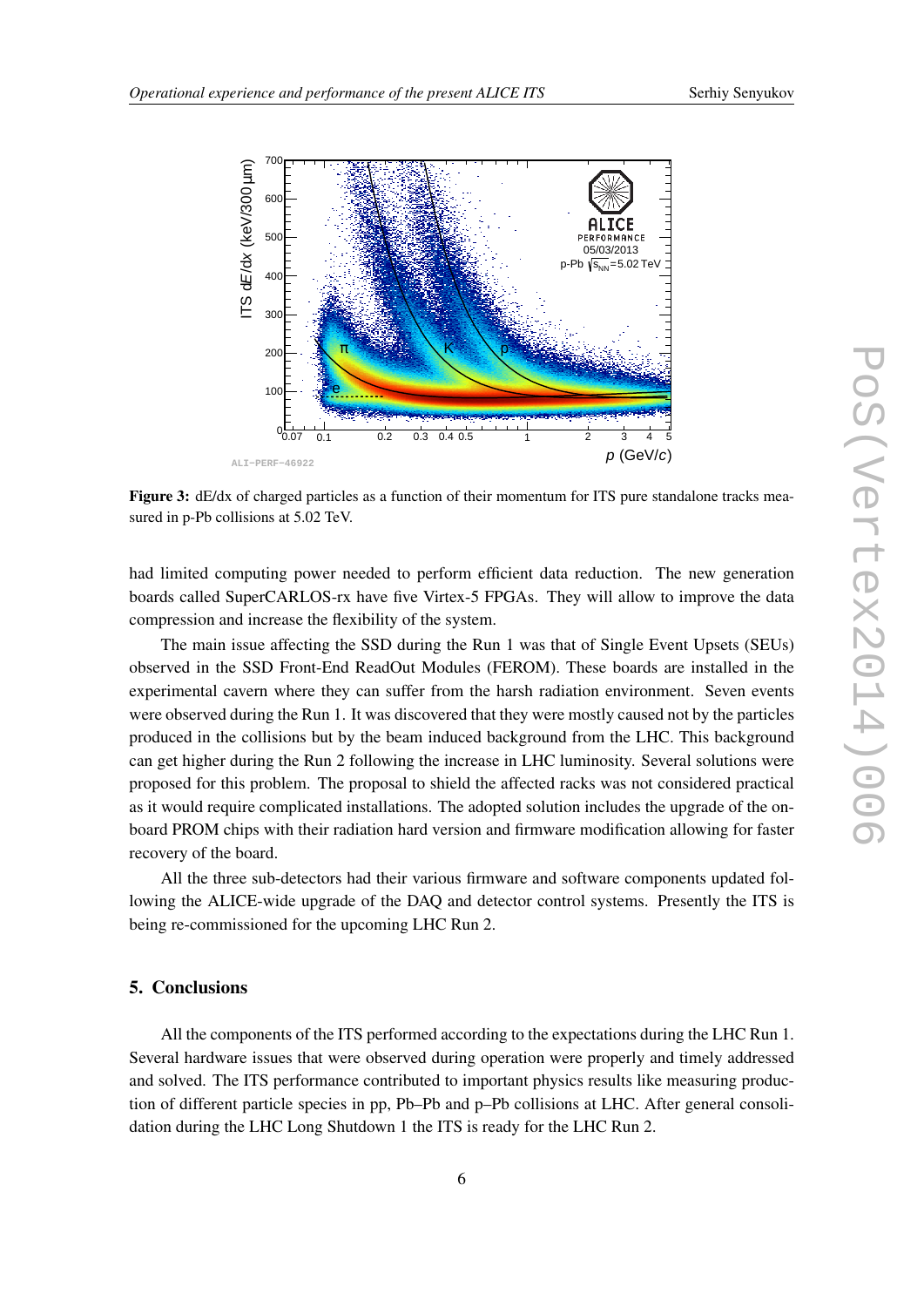<span id="page-5-0"></span>

Figure 3: dE/dx of charged particles as a function of their momentum for ITS pure standalone tracks measured in p-Pb collisions at 5.02 TeV.

had limited computing power needed to perform efficient data reduction. The new generation boards called SuperCARLOS-rx have five Virtex-5 FPGAs. They will allow to improve the data compression and increase the flexibility of the system.

The main issue affecting the SSD during the Run 1 was that of Single Event Upsets (SEUs) observed in the SSD Front-End ReadOut Modules (FEROM). These boards are installed in the experimental cavern where they can suffer from the harsh radiation environment. Seven events were observed during the Run 1. It was discovered that they were mostly caused not by the particles produced in the collisions but by the beam induced background from the LHC. This background can get higher during the Run 2 following the increase in LHC luminosity. Several solutions were proposed for this problem. The proposal to shield the affected racks was not considered practical as it would require complicated installations. The adopted solution includes the upgrade of the onboard PROM chips with their radiation hard version and firmware modification allowing for faster recovery of the board.

All the three sub-detectors had their various firmware and software components updated following the ALICE-wide upgrade of the DAQ and detector control systems. Presently the ITS is being re-commissioned for the upcoming LHC Run 2.

#### 5. Conclusions

All the components of the ITS performed according to the expectations during the LHC Run 1. Several hardware issues that were observed during operation were properly and timely addressed and solved. The ITS performance contributed to important physics results like measuring production of different particle species in pp, Pb–Pb and p–Pb collisions at LHC. After general consolidation during the LHC Long Shutdown 1 the ITS is ready for the LHC Run 2.